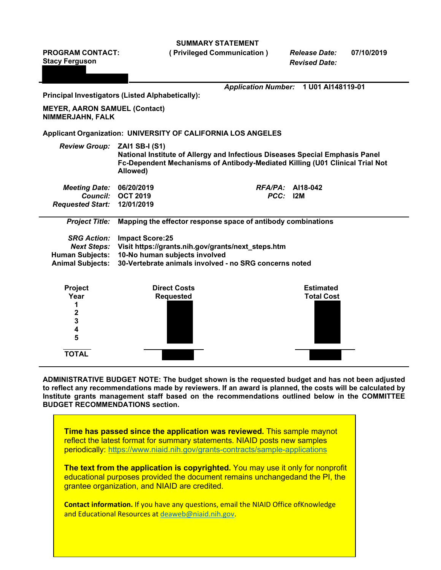**SUMMARY STATEMENT**

**PROGRAM CONTACT:**

**( Privileged Communication )** *Release Date:* **07/10/2019**

| <b>Stacy Ferguson</b>                                                                                                                                                                                                                                                                                                                                   |                                                                                                                                                                                                   | <b>Revised Date:</b>                  |                   |  |
|---------------------------------------------------------------------------------------------------------------------------------------------------------------------------------------------------------------------------------------------------------------------------------------------------------------------------------------------------------|---------------------------------------------------------------------------------------------------------------------------------------------------------------------------------------------------|---------------------------------------|-------------------|--|
|                                                                                                                                                                                                                                                                                                                                                         |                                                                                                                                                                                                   |                                       |                   |  |
|                                                                                                                                                                                                                                                                                                                                                         | <b>Principal Investigators (Listed Alphabetically):</b>                                                                                                                                           | Application Number: 1 U01 Al148119-01 |                   |  |
|                                                                                                                                                                                                                                                                                                                                                         |                                                                                                                                                                                                   |                                       |                   |  |
| <b>MEYER, AARON SAMUEL (Contact)</b><br>NIMMERJAHN, FALK                                                                                                                                                                                                                                                                                                |                                                                                                                                                                                                   |                                       |                   |  |
|                                                                                                                                                                                                                                                                                                                                                         | <b>Applicant Organization: UNIVERSITY OF CALIFORNIA LOS ANGELES</b>                                                                                                                               |                                       |                   |  |
| <b>Review Group:</b>                                                                                                                                                                                                                                                                                                                                    | <b>ZAI1 SB-I (S1)</b><br>National Institute of Allergy and Infectious Diseases Special Emphasis Panel<br>Fc-Dependent Mechanisms of Antibody-Mediated Killing (U01 Clinical Trial Not<br>Allowed) |                                       |                   |  |
| <b>Meeting Date:</b>                                                                                                                                                                                                                                                                                                                                    | 06/20/2019                                                                                                                                                                                        | $RFA/PA$ : Al18-042                   |                   |  |
| <b>Council:</b>                                                                                                                                                                                                                                                                                                                                         | <b>OCT 2019</b>                                                                                                                                                                                   | PCC: 12M                              |                   |  |
| <b>Requested Start:</b>                                                                                                                                                                                                                                                                                                                                 | 12/01/2019                                                                                                                                                                                        |                                       |                   |  |
| <b>Project Title:</b>                                                                                                                                                                                                                                                                                                                                   | Mapping the effector response space of antibody combinations                                                                                                                                      |                                       |                   |  |
| <b>SRG Action:</b>                                                                                                                                                                                                                                                                                                                                      | <b>Impact Score:25</b>                                                                                                                                                                            |                                       |                   |  |
| <b>Next Steps:</b>                                                                                                                                                                                                                                                                                                                                      | Visit https://grants.nih.gov/grants/next_steps.htm                                                                                                                                                |                                       |                   |  |
| <b>Human Subjects:</b>                                                                                                                                                                                                                                                                                                                                  | 10-No human subjects involved                                                                                                                                                                     |                                       |                   |  |
| <b>Animal Subjects:</b>                                                                                                                                                                                                                                                                                                                                 | 30-Vertebrate animals involved - no SRG concerns noted                                                                                                                                            |                                       |                   |  |
| Project                                                                                                                                                                                                                                                                                                                                                 | <b>Direct Costs</b>                                                                                                                                                                               |                                       | <b>Estimated</b>  |  |
| Year                                                                                                                                                                                                                                                                                                                                                    | <b>Requested</b>                                                                                                                                                                                  |                                       | <b>Total Cost</b> |  |
| 1                                                                                                                                                                                                                                                                                                                                                       |                                                                                                                                                                                                   |                                       |                   |  |
| $\overline{\mathbf{2}}$<br>3                                                                                                                                                                                                                                                                                                                            |                                                                                                                                                                                                   |                                       |                   |  |
| 4                                                                                                                                                                                                                                                                                                                                                       |                                                                                                                                                                                                   |                                       |                   |  |
| 5                                                                                                                                                                                                                                                                                                                                                       |                                                                                                                                                                                                   |                                       |                   |  |
| <b>TOTAL</b>                                                                                                                                                                                                                                                                                                                                            |                                                                                                                                                                                                   |                                       |                   |  |
| ADMINISTRATIVE BUDGET NOTE: The budget shown is the requested budget and has not been adjusted<br>to reflect any recommendations made by reviewers. If an award is planned, the costs will be calculated by<br>Institute grants management staff based on the recommendations outlined below in the COMMITTEE<br><b>BUDGET RECOMMENDATIONS section.</b> |                                                                                                                                                                                                   |                                       |                   |  |
|                                                                                                                                                                                                                                                                                                                                                         | Time has passed since the application was reviewed. This sample maynot                                                                                                                            |                                       |                   |  |

reflect the latest format for summary statements. NIAID posts new samples periodically:<https://www.niaid.nih.gov/grants-contracts/sample-applications> **The text from the application is copyrighted.** You may use it only for nonprofit

educational purposes provided the document remains unchangedand the PI, the grantee organization, and NIAID are credited.

**Contact information.** If you have any questions, email the NIAID Office ofKnowledge and Educational Resources at [deaweb@niaid.nih.gov.](mailto:deaweb@niaid.nih.gov)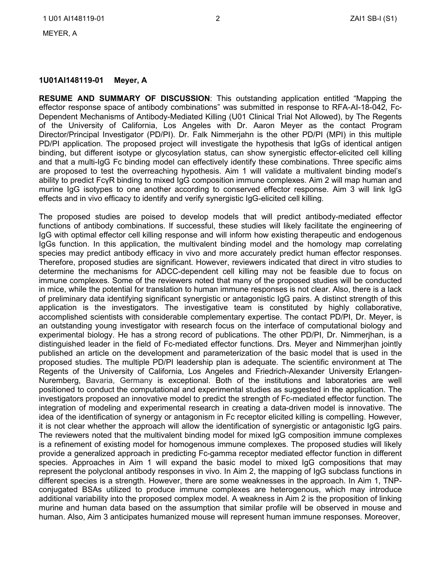#### **1U01AI148119-01 Meyer, A**

**RESUME AND SUMMARY OF DISCUSSION**: This outstanding application entitled "Mapping the effector response space of antibody combinations" was submitted in response to RFA-AI-18-042, Fc-Dependent Mechanisms of Antibody-Mediated Killing (U01 Clinical Trial Not Allowed), by The Regents of the University of California, Los Angeles with Dr. Aaron Meyer as the contact Program Director/Principal Investigator (PD/PI). Dr. Falk Nimmerjahn is the other PD/PI (MPI) in this multiple PD/PI application. The proposed project will investigate the hypothesis that IgGs of identical antigen binding, but different isotype or glycosylation status, can show synergistic effector-elicited cell killing and that a multi-IgG Fc binding model can effectively identify these combinations. Three specific aims are proposed to test the overreaching hypothesis. Aim 1 will validate a multivalent binding model's ability to predict FcγR binding to mixed IgG composition immune complexes. Aim 2 will map human and murine IgG isotypes to one another according to conserved effector response. Aim 3 will link IgG effects and in vivo efficacy to identify and verify synergistic IgG-elicited cell killing.

The proposed studies are poised to develop models that will predict antibody-mediated effector functions of antibody combinations. If successful, these studies will likely facilitate the engineering of IgG with optimal effector cell killing response and will inform how existing therapeutic and endogenous IgGs function. In this application, the multivalent binding model and the homology map correlating species may predict antibody efficacy in vivo and more accurately predict human effector responses. Therefore, proposed studies are significant. However, reviewers indicated that direct in vitro studies to determine the mechanisms for ADCC-dependent cell killing may not be feasible due to focus on immune complexes. Some of the reviewers noted that many of the proposed studies will be conducted in mice, while the potential for translation to human immune responses is not clear. Also, there is a lack of preliminary data identifying significant synergistic or antagonistic IgG pairs. A distinct strength of this application is the investigators. The investigative team is constituted by highly collaborative, accomplished scientists with considerable complementary expertise. The contact PD/PI, Dr. Meyer, is an outstanding young investigator with research focus on the interface of computational biology and experimental biology. He has a strong record of publications. The other PD/PI, Dr. Nimmerjhan, is a distinguished leader in the field of Fc-mediated effector functions. Drs. Meyer and Nimmerjhan jointly published an article on the development and parameterization of the basic model that is used in the proposed studies. The multiple PD/PI leadership plan is adequate. The scientific environment at The Regents of the University of California, Los Angeles and Friedrich-Alexander University Erlangen-Nuremberg, Bavaria, Germany is exceptional. Both of the institutions and laboratories are well positioned to conduct the computational and experimental studies as suggested in the application. The investigators proposed an innovative model to predict the strength of Fc-mediated effector function. The integration of modeling and experimental research in creating a data-driven model is innovative. The idea of the identification of synergy or antagonism in Fc receptor elicited killing is compelling. However, it is not clear whether the approach will allow the identification of synergistic or antagonistic IgG pairs. The reviewers noted that the multivalent binding model for mixed IgG composition immune complexes is a refinement of existing model for homogenous immune complexes. The proposed studies will likely provide a generalized approach in predicting Fc-gamma receptor mediated effector function in different species. Approaches in Aim 1 will expand the basic model to mixed IgG compositions that may represent the polyclonal antibody responses in vivo. In Aim 2, the mapping of IgG subclass functions in different species is a strength. However, there are some weaknesses in the approach. In Aim 1, TNPconjugated BSAs utilized to produce immune complexes are heterogenous, which may introduce additional variability into the proposed complex model. A weakness in Aim 2 is the proposition of linking murine and human data based on the assumption that similar profile will be observed in mouse and human. Also, Aim 3 anticipates humanized mouse will represent human immune responses. Moreover,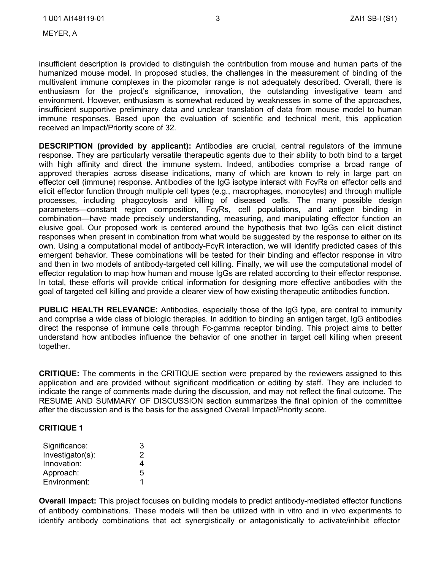MEYER, A

insufficient description is provided to distinguish the contribution from mouse and human parts of the humanized mouse model. In proposed studies, the challenges in the measurement of binding of the multivalent immune complexes in the picomolar range is not adequately described. Overall, there is enthusiasm for the project's significance, innovation, the outstanding investigative team and environment. However, enthusiasm is somewhat reduced by weaknesses in some of the approaches, insufficient supportive preliminary data and unclear translation of data from mouse model to human immune responses. Based upon the evaluation of scientific and technical merit, this application received an Impact/Priority score of 32.

**DESCRIPTION (provided by applicant):** Antibodies are crucial, central regulators of the immune response. They are particularly versatile therapeutic agents due to their ability to both bind to a target with high affinity and direct the immune system. Indeed, antibodies comprise a broad range of approved therapies across disease indications, many of which are known to rely in large part on effector cell (immune) response. Antibodies of the IgG isotype interact with FcγRs on effector cells and elicit effector function through multiple cell types (e.g., macrophages, monocytes) and through multiple processes, including phagocytosis and killing of diseased cells. The many possible design parameters—constant region composition, FcγRs, cell populations, and antigen binding in combination—have made precisely understanding, measuring, and manipulating effector function an elusive goal. Our proposed work is centered around the hypothesis that two IgGs can elicit distinct responses when present in combination from what would be suggested by the response to either on its own. Using a computational model of antibody-FcγR interaction, we will identify predicted cases of this emergent behavior. These combinations will be tested for their binding and effector response in vitro and then in two models of antibody-targeted cell killing. Finally, we will use the computational model of effector regulation to map how human and mouse IgGs are related according to their effector response. In total, these efforts will provide critical information for designing more effective antibodies with the goal of targeted cell killing and provide a clearer view of how existing therapeutic antibodies function.

**PUBLIC HEALTH RELEVANCE:** Antibodies, especially those of the IgG type, are central to immunity and comprise a wide class of biologic therapies. In addition to binding an antigen target, IgG antibodies direct the response of immune cells through Fc-gamma receptor binding. This project aims to better understand how antibodies influence the behavior of one another in target cell killing when present together.

**CRITIQUE:** The comments in the CRITIQUE section were prepared by the reviewers assigned to this application and are provided without significant modification or editing by staff. They are included to indicate the range of comments made during the discussion, and may not reflect the final outcome. The RESUME AND SUMMARY OF DISCUSSION section summarizes the final opinion of the committee after the discussion and is the basis for the assigned Overall Impact/Priority score.

#### **CRITIQUE 1**

| Significance:    | З |
|------------------|---|
| Investigator(s): | 2 |
| Innovation:      | 4 |
| Approach:        | 5 |
| Environment:     |   |

**Overall Impact:** This project focuses on building models to predict antibody-mediated effector functions of antibody combinations. These models will then be utilized with in vitro and in vivo experiments to identify antibody combinations that act synergistically or antagonistically to activate/inhibit effector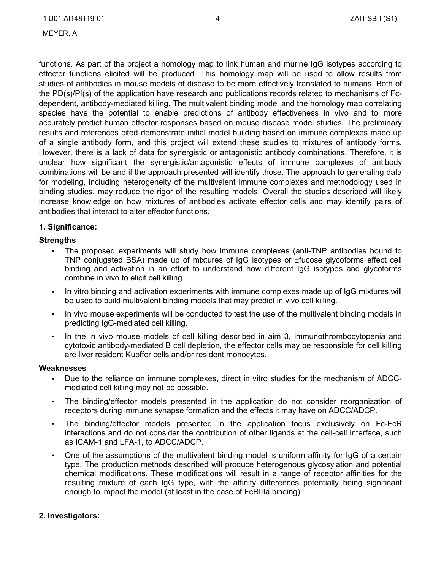MEYER, A

functions. As part of the project a homology map to link human and murine IgG isotypes according to effector functions elicited will be produced. This homology map will be used to allow results from studies of antibodies in mouse models of disease to be more effectively translated to humans. Both of the PD(s)/PI(s) of the application have research and publications records related to mechanisms of Fcdependent, antibody-mediated killing. The multivalent binding model and the homology map correlating species have the potential to enable predictions of antibody effectiveness in vivo and to more accurately predict human effector responses based on mouse disease model studies. The preliminary results and references cited demonstrate initial model building based on immune complexes made up of a single antibody form, and this project will extend these studies to mixtures of antibody forms. However, there is a lack of data for synergistic or antagonistic antibody combinations. Therefore, it is unclear how significant the synergistic/antagonistic effects of immune complexes of antibody combinations will be and if the approach presented will identify those. The approach to generating data for modeling, including heterogeneity of the multivalent immune complexes and methodology used in binding studies, may reduce the rigor of the resulting models. Overall the studies described will likely increase knowledge on how mixtures of antibodies activate effector cells and may identify pairs of antibodies that interact to alter effector functions.

### **1. Significance:**

#### **Strengths**

- The proposed experiments will study how immune complexes (anti-TNP antibodies bound to TNP conjugated BSA) made up of mixtures of IgG isotypes or ±fucose glycoforms effect cell binding and activation in an effort to understand how different IgG isotypes and glycoforms combine in vivo to elicit cell killing.
- In vitro binding and activation experiments with immune complexes made up of IgG mixtures will be used to build multivalent binding models that may predict in vivo cell killing.
- In vivo mouse experiments will be conducted to test the use of the multivalent binding models in predicting IgG-mediated cell killing.
- In the in vivo mouse models of cell killing described in aim 3, immunothrombocytopenia and cytotoxic antibody-mediated B cell depletion, the effector cells may be responsible for cell killing are liver resident Kupffer cells and/or resident monocytes.

#### **Weaknesses**

- Due to the reliance on immune complexes, direct in vitro studies for the mechanism of ADCCmediated cell killing may not be possible.
- The binding/effector models presented in the application do not consider reorganization of receptors during immune synapse formation and the effects it may have on ADCC/ADCP.
- The binding/effector models presented in the application focus exclusively on Fc-FcR interactions and do not consider the contribution of other ligands at the cell-cell interface, such as ICAM-1 and LFA-1, to ADCC/ADCP.
- One of the assumptions of the multivalent binding model is uniform affinity for IgG of a certain type. The production methods described will produce heterogenous glycosylation and potential chemical modifications. These modifications will result in a range of receptor affinities for the resulting mixture of each IgG type, with the affinity differences potentially being significant enough to impact the model (at least in the case of FcRIIIa binding).

### **2. Investigators:**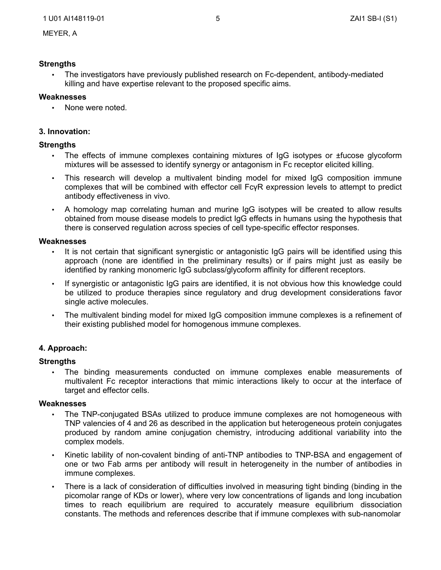## **Strengths**

• The investigators have previously published research on Fc-dependent, antibody-mediated killing and have expertise relevant to the proposed specific aims.

# **Weaknesses**

None were noted.

# **3. Innovation:**

## **Strengths**

- The effects of immune complexes containing mixtures of IgG isotypes or ±fucose glycoform mixtures will be assessed to identify synergy or antagonism in Fc receptor elicited killing.
- This research will develop a multivalent binding model for mixed IgG composition immune complexes that will be combined with effector cell FcγR expression levels to attempt to predict antibody effectiveness in vivo.
- A homology map correlating human and murine IgG isotypes will be created to allow results obtained from mouse disease models to predict IgG effects in humans using the hypothesis that there is conserved regulation across species of cell type-specific effector responses.

### **Weaknesses**

- It is not certain that significant synergistic or antagonistic IgG pairs will be identified using this approach (none are identified in the preliminary results) or if pairs might just as easily be identified by ranking monomeric IgG subclass/glycoform affinity for different receptors.
- If synergistic or antagonistic IgG pairs are identified, it is not obvious how this knowledge could be utilized to produce therapies since regulatory and drug development considerations favor single active molecules.
- The multivalent binding model for mixed IgG composition immune complexes is a refinement of their existing published model for homogenous immune complexes.

# **4. Approach:**

### **Strengths**

• The binding measurements conducted on immune complexes enable measurements of multivalent Fc receptor interactions that mimic interactions likely to occur at the interface of target and effector cells.

### **Weaknesses**

- The TNP-conjugated BSAs utilized to produce immune complexes are not homogeneous with TNP valencies of 4 and 26 as described in the application but heterogeneous protein conjugates produced by random amine conjugation chemistry, introducing additional variability into the complex models.
- Kinetic lability of non-covalent binding of anti-TNP antibodies to TNP-BSA and engagement of one or two Fab arms per antibody will result in heterogeneity in the number of antibodies in immune complexes.
- There is a lack of consideration of difficulties involved in measuring tight binding (binding in the picomolar range of KDs or lower), where very low concentrations of ligands and long incubation times to reach equilibrium are required to accurately measure equilibrium dissociation constants. The methods and references describe that if immune complexes with sub-nanomolar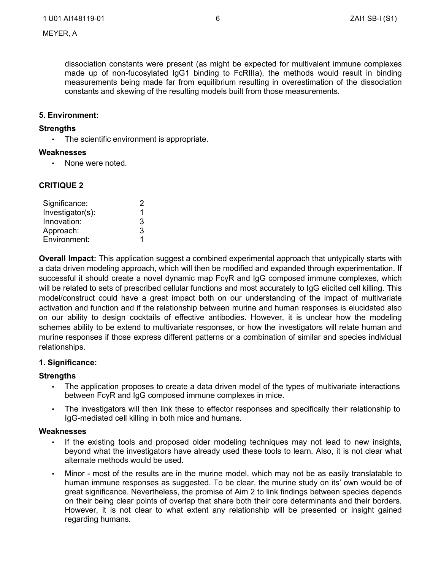dissociation constants were present (as might be expected for multivalent immune complexes made up of non-fucosylated IgG1 binding to FcRIIIa), the methods would result in binding measurements being made far from equilibrium resulting in overestimation of the dissociation constants and skewing of the resulting models built from those measurements.

#### **5. Environment:**

#### **Strengths**

The scientific environment is appropriate.

#### **Weaknesses**

• None were noted.

# **CRITIQUE 2**

| Significance:    | 2 |
|------------------|---|
| Investigator(s): | 1 |
| Innovation:      | 3 |
| Approach:        | 3 |
| Environment:     |   |

**Overall Impact:** This application suggest a combined experimental approach that untypically starts with a data driven modeling approach, which will then be modified and expanded through experimentation. If successful it should create a novel dynamic map FcγR and IgG composed immune complexes, which will be related to sets of prescribed cellular functions and most accurately to IgG elicited cell killing. This model/construct could have a great impact both on our understanding of the impact of multivariate activation and function and if the relationship between murine and human responses is elucidated also on our ability to design cocktails of effective antibodies. However, it is unclear how the modeling schemes ability to be extend to multivariate responses, or how the investigators will relate human and murine responses if those express different patterns or a combination of similar and species individual relationships.

### **1. Significance:**

### **Strengths**

- The application proposes to create a data driven model of the types of multivariate interactions between FcγR and IgG composed immune complexes in mice.
- The investigators will then link these to effector responses and specifically their relationship to IgG-mediated cell killing in both mice and humans.

#### **Weaknesses**

- If the existing tools and proposed older modeling techniques may not lead to new insights, beyond what the investigators have already used these tools to learn. Also, it is not clear what alternate methods would be used.
- Minor most of the results are in the murine model, which may not be as easily translatable to human immune responses as suggested. To be clear, the murine study on its' own would be of great significance. Nevertheless, the promise of Aim 2 to link findings between species depends on their being clear points of overlap that share both their core determinants and their borders. However, it is not clear to what extent any relationship will be presented or insight gained regarding humans.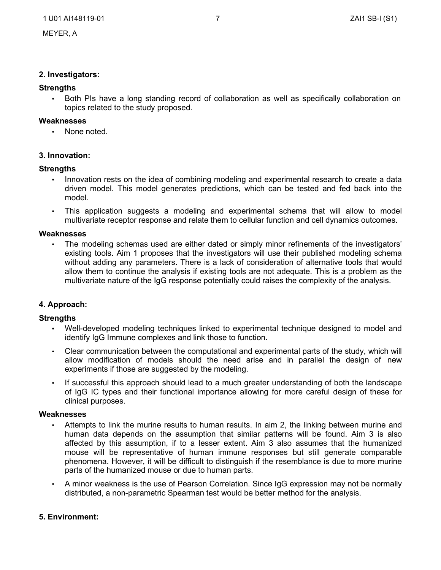#### **2. Investigators:**

#### **Strengths**

• Both PIs have a long standing record of collaboration as well as specifically collaboration on topics related to the study proposed.

#### **Weaknesses**

None noted.

#### **3. Innovation:**

#### **Strengths**

- Innovation rests on the idea of combining modeling and experimental research to create a data driven model. This model generates predictions, which can be tested and fed back into the model.
- This application suggests a modeling and experimental schema that will allow to model multivariate receptor response and relate them to cellular function and cell dynamics outcomes.

#### **Weaknesses**

• The modeling schemas used are either dated or simply minor refinements of the investigators' existing tools. Aim 1 proposes that the investigators will use their published modeling schema without adding any parameters. There is a lack of consideration of alternative tools that would allow them to continue the analysis if existing tools are not adequate. This is a problem as the multivariate nature of the IgG response potentially could raises the complexity of the analysis.

### **4. Approach:**

#### **Strengths**

- Well-developed modeling techniques linked to experimental technique designed to model and identify IgG Immune complexes and link those to function.
- Clear communication between the computational and experimental parts of the study, which will allow modification of models should the need arise and in parallel the design of new experiments if those are suggested by the modeling.
- If successful this approach should lead to a much greater understanding of both the landscape of IgG IC types and their functional importance allowing for more careful design of these for clinical purposes.

#### **Weaknesses**

- Attempts to link the murine results to human results. In aim 2, the linking between murine and human data depends on the assumption that similar patterns will be found. Aim 3 is also affected by this assumption, if to a lesser extent. Aim 3 also assumes that the humanized mouse will be representative of human immune responses but still generate comparable phenomena. However, it will be difficult to distinguish if the resemblance is due to more murine parts of the humanized mouse or due to human parts.
- A minor weakness is the use of Pearson Correlation. Since IgG expression may not be normally distributed, a non-parametric Spearman test would be better method for the analysis.

### **5. Environment:**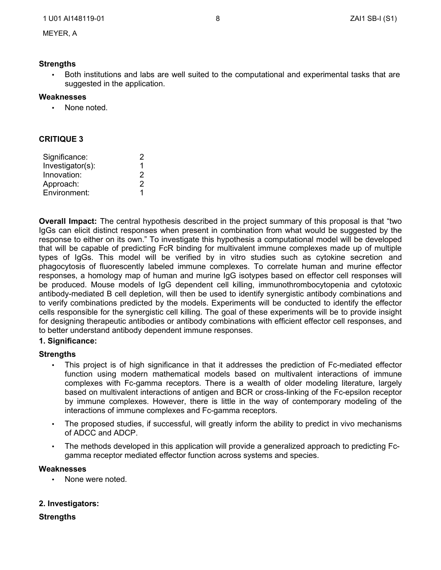## **Strengths**

• Both institutions and labs are well suited to the computational and experimental tasks that are suggested in the application.

## **Weaknesses**

• None noted.

# **CRITIQUE 3**

| Significance:    | 2 |
|------------------|---|
| Investigator(s): | 1 |
| Innovation:      | 2 |
| Approach:        | 2 |
| Environment:     | 1 |

**Overall Impact:** The central hypothesis described in the project summary of this proposal is that "two IgGs can elicit distinct responses when present in combination from what would be suggested by the response to either on its own." To investigate this hypothesis a computational model will be developed that will be capable of predicting FcR binding for multivalent immune complexes made up of multiple types of IgGs. This model will be verified by in vitro studies such as cytokine secretion and phagocytosis of fluorescently labeled immune complexes. To correlate human and murine effector responses, a homology map of human and murine IgG isotypes based on effector cell responses will be produced. Mouse models of IgG dependent cell killing, immunothrombocytopenia and cytotoxic antibody-mediated B cell depletion, will then be used to identify synergistic antibody combinations and to verify combinations predicted by the models. Experiments will be conducted to identify the effector cells responsible for the synergistic cell killing. The goal of these experiments will be to provide insight for designing therapeutic antibodies or antibody combinations with efficient effector cell responses, and to better understand antibody dependent immune responses.

### **1. Significance:**

### **Strengths**

- This project is of high significance in that it addresses the prediction of Fc-mediated effector function using modern mathematical models based on multivalent interactions of immune complexes with Fc-gamma receptors. There is a wealth of older modeling literature, largely based on multivalent interactions of antigen and BCR or cross-linking of the Fc-epsilon receptor by immune complexes. However, there is little in the way of contemporary modeling of the interactions of immune complexes and Fc-gamma receptors.
- The proposed studies, if successful, will greatly inform the ability to predict in vivo mechanisms of ADCC and ADCP.
- The methods developed in this application will provide a generalized approach to predicting Fcgamma receptor mediated effector function across systems and species.

### **Weaknesses**

• None were noted.

### **2. Investigators:**

**Strengths**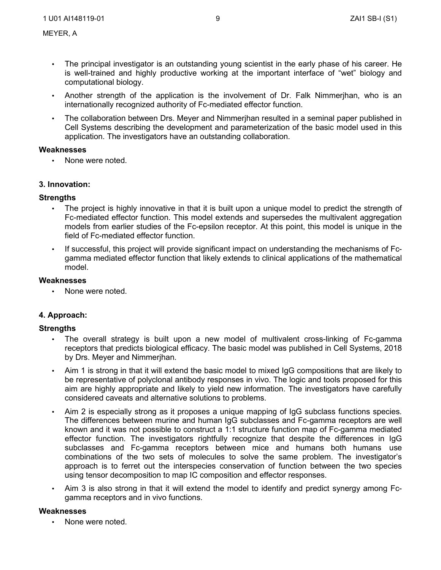- The principal investigator is an outstanding young scientist in the early phase of his career. He is well-trained and highly productive working at the important interface of "wet" biology and computational biology.
- Another strength of the application is the involvement of Dr. Falk Nimmerjhan, who is an internationally recognized authority of Fc-mediated effector function.
- The collaboration between Drs. Meyer and Nimmerjhan resulted in a seminal paper published in Cell Systems describing the development and parameterization of the basic model used in this application. The investigators have an outstanding collaboration.

### **Weaknesses**

• None were noted.

#### **3. Innovation:**

#### **Strengths**

- The project is highly innovative in that it is built upon a unique model to predict the strength of Fc-mediated effector function. This model extends and supersedes the multivalent aggregation models from earlier studies of the Fc-epsilon receptor. At this point, this model is unique in the field of Fc-mediated effector function.
- If successful, this project will provide significant impact on understanding the mechanisms of Fcgamma mediated effector function that likely extends to clinical applications of the mathematical model.

#### **Weaknesses**

• None were noted.

### **4. Approach:**

### **Strengths**

- The overall strategy is built upon a new model of multivalent cross-linking of Fc-gamma receptors that predicts biological efficacy. The basic model was published in Cell Systems, 2018 by Drs. Meyer and Nimmerjhan.
- Aim 1 is strong in that it will extend the basic model to mixed IgG compositions that are likely to be representative of polyclonal antibody responses in vivo. The logic and tools proposed for this aim are highly appropriate and likely to yield new information. The investigators have carefully considered caveats and alternative solutions to problems.
- Aim 2 is especially strong as it proposes a unique mapping of IgG subclass functions species. The differences between murine and human IgG subclasses and Fc-gamma receptors are well known and it was not possible to construct a 1:1 structure function map of Fc-gamma mediated effector function. The investigators rightfully recognize that despite the differences in IgG subclasses and Fc-gamma receptors between mice and humans both humans use combinations of the two sets of molecules to solve the same problem. The investigator's approach is to ferret out the interspecies conservation of function between the two species using tensor decomposition to map IC composition and effector responses.
- Aim 3 is also strong in that it will extend the model to identify and predict synergy among Fcgamma receptors and in vivo functions.

#### **Weaknesses**

None were noted.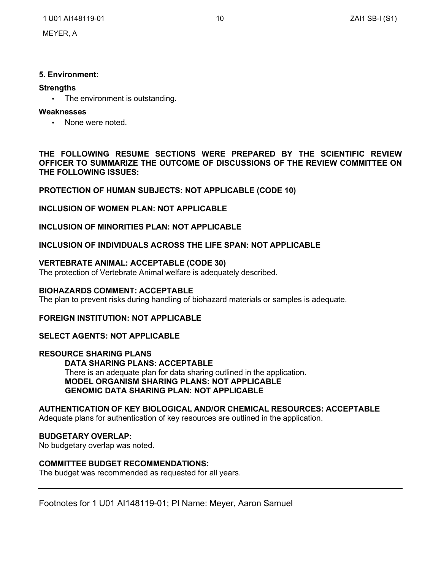### **5. Environment:**

# **Strengths**

• The environment is outstanding.

## **Weaknesses**

• None were noted.

**THE FOLLOWING RESUME SECTIONS WERE PREPARED BY THE SCIENTIFIC REVIEW OFFICER TO SUMMARIZE THE OUTCOME OF DISCUSSIONS OF THE REVIEW COMMITTEE ON THE FOLLOWING ISSUES:**

# **PROTECTION OF HUMAN SUBJECTS: NOT APPLICABLE (CODE 10)**

# **INCLUSION OF WOMEN PLAN: NOT APPLICABLE**

# **INCLUSION OF MINORITIES PLAN: NOT APPLICABLE**

# **INCLUSION OF INDIVIDUALS ACROSS THE LIFE SPAN: NOT APPLICABLE**

# **VERTEBRATE ANIMAL: ACCEPTABLE (CODE 30)**

The protection of Vertebrate Animal welfare is adequately described.

### **BIOHAZARDS COMMENT: ACCEPTABLE**

The plan to prevent risks during handling of biohazard materials or samples is adequate.

# **FOREIGN INSTITUTION: NOT APPLICABLE**

# **SELECT AGENTS: NOT APPLICABLE**

**RESOURCE SHARING PLANS DATA SHARING PLANS: ACCEPTABLE** There is an adequate plan for data sharing outlined in the application. **MODEL ORGANISM SHARING PLANS: NOT APPLICABLE GENOMIC DATA SHARING PLAN: NOT APPLICABLE**

### **AUTHENTICATION OF KEY BIOLOGICAL AND/OR CHEMICAL RESOURCES: ACCEPTABLE**

Adequate plans for authentication of key resources are outlined in the application.

## **BUDGETARY OVERLAP:**

No budgetary overlap was noted.

## **COMMITTEE BUDGET RECOMMENDATIONS:**

The budget was recommended as requested for all years.

Footnotes for 1 U01 AI148119-01; PI Name: Meyer, Aaron Samuel